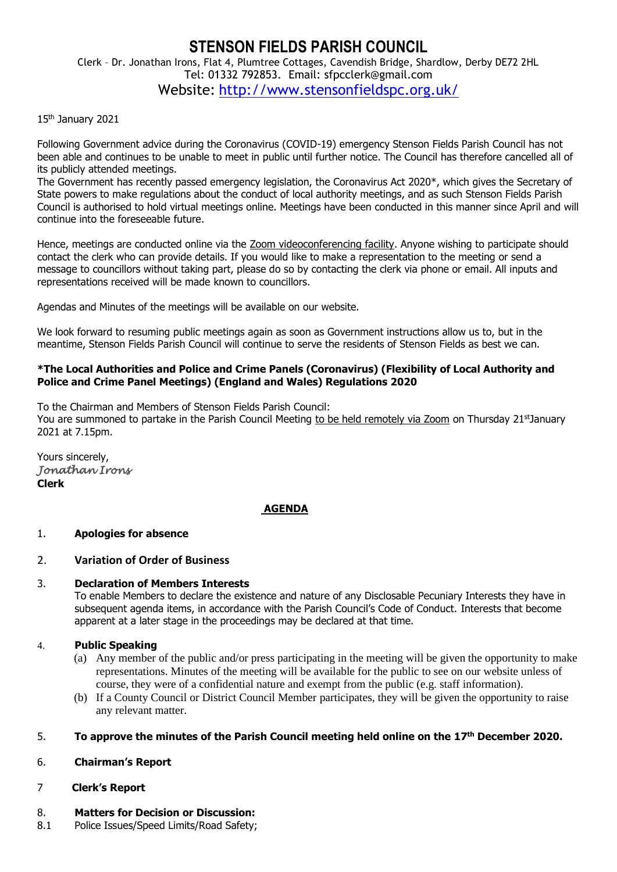# **STENSON FIELDS PARISH COUNCIL** Clerk – Dr. Jonathan Irons, Flat 4, Plumtree Cottages, Cavendish Bridge, Shardlow, Derby DE72 2HL Tel: 01332 792853. Email: sfpcclerk@gmail.com Website: <http://www.stensonfieldspc.org.uk/>

#### 15th January 2021

Following Government advice during the Coronavirus (COVID-19) emergency Stenson Fields Parish Council has not been able and continues to be unable to meet in public until further notice. The Council has therefore cancelled all of its publicly attended meetings.

The Government has recently passed emergency legislation, the Coronavirus Act 2020\*, which gives the Secretary of State powers to make regulations about the conduct of local authority meetings, and as such Stenson Fields Parish Council is authorised to hold virtual meetings online. Meetings have been conducted in this manner since April and will continue into the foreseeable future.

Hence, meetings are conducted online via the Zoom videoconferencing facility. Anyone wishing to participate should contact the clerk who can provide details. If you would like to make a representation to the meeting or send a message to councillors without taking part, please do so by contacting the clerk via phone or email. All inputs and representations received will be made known to councillors.

Agendas and Minutes of the meetings will be available on our website.

We look forward to resuming public meetings again as soon as Government instructions allow us to, but in the meantime, Stenson Fields Parish Council will continue to serve the residents of Stenson Fields as best we can.

#### **\*The Local Authorities and Police and Crime Panels (Coronavirus) (Flexibility of Local Authority and Police and Crime Panel Meetings) (England and Wales) Regulations 2020**

To the Chairman and Members of Stenson Fields Parish Council: You are summoned to partake in the Parish Council Meeting to be held remotely via Zoom on Thursday 21stJanuary 2021 at 7.15pm.

Yours sincerely, *Jonathan Irons*  **Clerk**

#### **AGENDA**

#### 1. **Apologies for absence**

#### 2. **Variation of Order of Business**

#### 3. **Declaration of Members Interests**

To enable Members to declare the existence and nature of any Disclosable Pecuniary Interests they have in subsequent agenda items, in accordance with the Parish Council's Code of Conduct. Interests that become apparent at a later stage in the proceedings may be declared at that time.

#### 4. **Public Speaking**

- (a) Any member of the public and/or press participating in the meeting will be given the opportunity to make representations. Minutes of the meeting will be available for the public to see on our website unless of course, they were of a confidential nature and exempt from the public (e.g. staff information).
- (b) If a County Council or District Council Member participates, they will be given the opportunity to raise any relevant matter.

#### 5. **To approve the minutes of the Parish Council meeting held online on the 17 th December 2020.**

#### 6. **Chairman's Report**

#### 7 **Clerk's Report**

#### 8. **Matters for Decision or Discussion:**

8.1 Police Issues/Speed Limits/Road Safety;